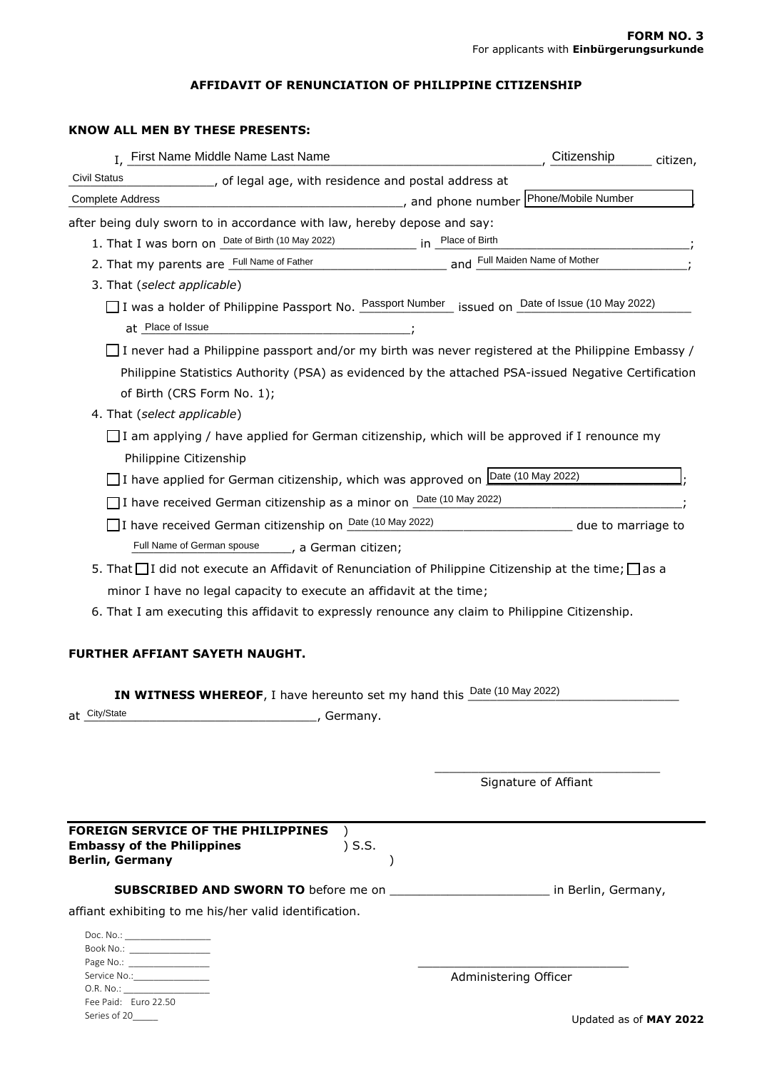## **AFFIDAVIT OF RENUNCIATION OF PHILIPPINE CITIZENSHIP**

## **KNOW ALL MEN BY THESE PRESENTS:**

Fee Paid: Euro 22.50 Series of 20\_\_\_\_\_

| I. First Name Middle Name Last Name                                                                                                              |                                                     |                       | Citizenship<br>citizen,                                                                              |
|--------------------------------------------------------------------------------------------------------------------------------------------------|-----------------------------------------------------|-----------------------|------------------------------------------------------------------------------------------------------|
| <b>Civil Status</b>                                                                                                                              | (of legal age, with residence and postal address at |                       |                                                                                                      |
| <b>Complete Address</b>                                                                                                                          | and phone number Phone/Mobile Number (Phone)        |                       |                                                                                                      |
| after being duly sworn to in accordance with law, hereby depose and say:                                                                         |                                                     |                       |                                                                                                      |
|                                                                                                                                                  |                                                     |                       |                                                                                                      |
| 1. That I was born on Date of Birth (10 May 2022) in Place of Birth<br>2. That my parents are Full Name of Father and Full Maiden Name of Mother |                                                     |                       |                                                                                                      |
| 3. That (select applicable)                                                                                                                      |                                                     |                       |                                                                                                      |
| □ I was a holder of Philippine Passport No. Passport Number issued on Date of Issue (10 May 2022)                                                |                                                     |                       |                                                                                                      |
| at Place of Issue                                                                                                                                |                                                     |                       |                                                                                                      |
| $\Box$ I never had a Philippine passport and/or my birth was never registered at the Philippine Embassy /                                        |                                                     |                       |                                                                                                      |
| of Birth (CRS Form No. 1);                                                                                                                       |                                                     |                       | Philippine Statistics Authority (PSA) as evidenced by the attached PSA-issued Negative Certification |
| 4. That (select applicable)                                                                                                                      |                                                     |                       |                                                                                                      |
| $\Box$ I am applying / have applied for German citizenship, which will be approved if I renounce my<br>Philippine Citizenship                    |                                                     |                       |                                                                                                      |
| $\Box$ I have applied for German citizenship, which was approved on $\Box$ Date (10 May 2022)                                                    |                                                     |                       |                                                                                                      |
| $\Box$ I have received German citizenship as a minor on $\Box$ (10 May 2022)                                                                     |                                                     |                       |                                                                                                      |
| □I have received German citizenship on $\frac{\text{Date} (10 \text{ May } 2022)}{}$ due to marriage to                                          |                                                     |                       |                                                                                                      |
| Full Name of German spouse ______, a German citizen;                                                                                             |                                                     |                       |                                                                                                      |
| 5. That $\Box$ I did not execute an Affidavit of Renunciation of Philippine Citizenship at the time; $\Box$ as a                                 |                                                     |                       |                                                                                                      |
| minor I have no legal capacity to execute an affidavit at the time;                                                                              |                                                     |                       |                                                                                                      |
| 6. That I am executing this affidavit to expressly renounce any claim to Philippine Citizenship.                                                 |                                                     |                       |                                                                                                      |
| <b>FURTHER AFFIANT SAYETH NAUGHT.</b>                                                                                                            |                                                     |                       |                                                                                                      |
| <b>IN WITNESS WHEREOF, I</b> have hereunto set my hand this <b>Date (10 May 2022)</b>                                                            |                                                     |                       |                                                                                                      |
| at City/State                                                                                                                                    | _, Germany.                                         |                       |                                                                                                      |
|                                                                                                                                                  |                                                     |                       |                                                                                                      |
|                                                                                                                                                  |                                                     |                       |                                                                                                      |
|                                                                                                                                                  |                                                     | Signature of Affiant  |                                                                                                      |
|                                                                                                                                                  |                                                     |                       |                                                                                                      |
|                                                                                                                                                  |                                                     |                       |                                                                                                      |
| <b>FOREIGN SERVICE OF THE PHILIPPINES</b><br><b>Embassy of the Philippines</b>                                                                   | $)$ S.S.                                            |                       |                                                                                                      |
| <b>Berlin, Germany</b>                                                                                                                           |                                                     |                       |                                                                                                      |
| <b>SUBSCRIBED AND SWORN TO</b> before me on _________________________________ in Berlin, Germany,                                                |                                                     |                       |                                                                                                      |
| affiant exhibiting to me his/her valid identification.                                                                                           |                                                     |                       |                                                                                                      |
| Doc. No.: ___________________<br>Book No.: ___________________                                                                                   |                                                     |                       |                                                                                                      |
| Page No.: ___________________<br>Service No.: _________________<br>O.R. No.: __________________                                                  |                                                     | Administering Officer |                                                                                                      |